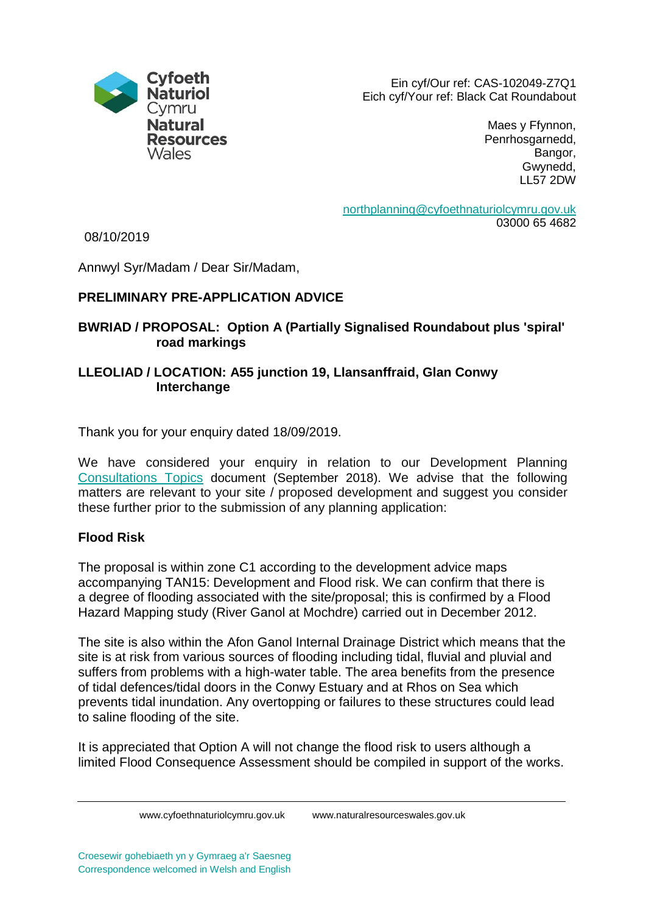

Ein cyf/Our ref: CAS-102049-Z7Q1 Eich cyf/Your ref: Black Cat Roundabout

> Maes y Ffynnon, Penrhosgarnedd, Bangor, Gwynedd, LL57 2DW

[northplanning@cyfoethnaturiolcymru.gov.uk](mailto:northplanning@cyfoethnaturiolcymru.gov.uk) 03000 65 4682

08/10/2019

Annwyl Syr/Madam / Dear Sir/Madam,

# **PRELIMINARY PRE-APPLICATION ADVICE**

## **BWRIAD / PROPOSAL: Option A (Partially Signalised Roundabout plus 'spiral' road markings**

### **LLEOLIAD / LOCATION: A55 junction 19, Llansanffraid, Glan Conwy Interchange**

Thank you for your enquiry dated 18/09/2019.

We have considered your enquiry in relation to our Development Planning [Consultations Topics](https://cdn.naturalresources.wales/media/686847/dpas-consultation-topics-august-2018-eng.pdf?mode=pad&rnd=131909112110000000) document (September 2018). We advise that the following matters are relevant to your site / proposed development and suggest you consider these further prior to the submission of any planning application:

## **Flood Risk**

The proposal is within zone C1 according to the development advice maps accompanying TAN15: Development and Flood risk. We can confirm that there is a degree of flooding associated with the site/proposal; this is confirmed by a Flood Hazard Mapping study (River Ganol at Mochdre) carried out in December 2012.

The site is also within the Afon Ganol Internal Drainage District which means that the site is at risk from various sources of flooding including tidal, fluvial and pluvial and suffers from problems with a high-water table. The area benefits from the presence of tidal defences/tidal doors in the Conwy Estuary and at Rhos on Sea which prevents tidal inundation. Any overtopping or failures to these structures could lead to saline flooding of the site.

It is appreciated that Option A will not change the flood risk to users although a limited Flood Consequence Assessment should be compiled in support of the works.

www.cyfoethnaturiolcymru.gov.uk www.naturalresourceswales.gov.uk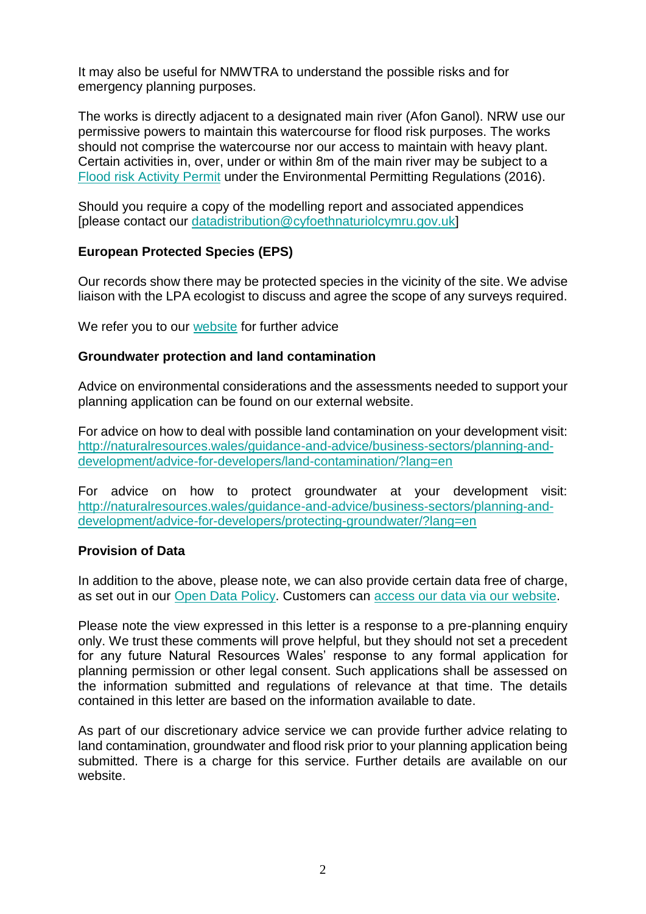It may also be useful for NMWTRA to understand the possible risks and for emergency planning purposes.

The works is directly adjacent to a designated main river (Afon Ganol). NRW use our permissive powers to maintain this watercourse for flood risk purposes. The works should not comprise the watercourse nor our access to maintain with heavy plant. Certain activities in, over, under or within 8m of the main river may be subject to a [Flood risk Activity Permit](https://naturalresources.wales/permits-and-permissions/flood-risk-activities/?lang=en) under the Environmental Permitting Regulations (2016).

Should you require a copy of the modelling report and associated appendices [please contact our [datadistribution@cyfoethnaturiolcymru.gov.uk\]](mailto:datadistribution@cyfoethnaturiolcymru.gov.uk)

### **European Protected Species (EPS)**

Our records show there may be protected species in the vicinity of the site. We advise liaison with the LPA ecologist to discuss and agree the scope of any surveys required.

We refer you to our [website](https://naturalresources.wales/guidance-and-advice/business-sectors/planning-and-development/advice-for-developers/protected-species/?lang=en) for further advice

#### **Groundwater protection and land contamination**

Advice on environmental considerations and the assessments needed to support your planning application can be found on our external website.

For advice on how to deal with possible land contamination on your development visit: [http://naturalresources.wales/guidance-and-advice/business-sectors/planning-and](http://naturalresources.wales/guidance-and-advice/business-sectors/planning-and-development/advice-for-developers/land-contamination/?lang=en)[development/advice-for-developers/land-contamination/?lang=en](http://naturalresources.wales/guidance-and-advice/business-sectors/planning-and-development/advice-for-developers/land-contamination/?lang=en)

For advice on how to protect groundwater at your development visit: [http://naturalresources.wales/guidance-and-advice/business-sectors/planning-and](http://naturalresources.wales/guidance-and-advice/business-sectors/planning-and-development/advice-for-developers/protecting-groundwater/?lang=en)[development/advice-for-developers/protecting-groundwater/?lang=en](http://naturalresources.wales/guidance-and-advice/business-sectors/planning-and-development/advice-for-developers/protecting-groundwater/?lang=en)

#### **Provision of Data**

In addition to the above, please note, we can also provide certain data free of charge, as set out in our [Open Data Policy.](https://cyfoethnaturiolcymru.sharepoint.com/en-gb/open-data) Customers can [access our data via our](https://naturalresources.wales/evidence-and-data/access-our-data/?lang=en) website.

Please note the view expressed in this letter is a response to a pre-planning enquiry only. We trust these comments will prove helpful, but they should not set a precedent for any future Natural Resources Wales' response to any formal application for planning permission or other legal consent. Such applications shall be assessed on the information submitted and regulations of relevance at that time. The details contained in this letter are based on the information available to date.

As part of our discretionary advice service we can provide further advice relating to land contamination, groundwater and flood risk prior to your planning application being submitted. There is a charge for this service. Further details are available on our website.